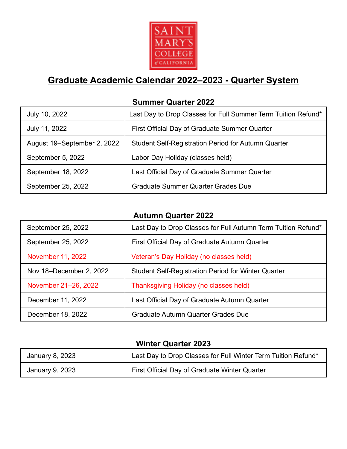

# **Graduate Academic Calendar 2022–2023 - Quarter System**

### **Summer Quarter 2022**

| July 10, 2022               | Last Day to Drop Classes for Full Summer Term Tuition Refund* |
|-----------------------------|---------------------------------------------------------------|
| July 11, 2022               | First Official Day of Graduate Summer Quarter                 |
| August 19–September 2, 2022 | <b>Student Self-Registration Period for Autumn Quarter</b>    |
| September 5, 2022           | Labor Day Holiday (classes held)                              |
| September 18, 2022          | Last Official Day of Graduate Summer Quarter                  |
| September 25, 2022          | <b>Graduate Summer Quarter Grades Due</b>                     |

### **Autumn Quarter 2022**

| September 25, 2022      | Last Day to Drop Classes for Full Autumn Term Tuition Refund* |
|-------------------------|---------------------------------------------------------------|
| September 25, 2022      | First Official Day of Graduate Autumn Quarter                 |
| November 11, 2022       | Veteran's Day Holiday (no classes held)                       |
| Nov 18–December 2, 2022 | <b>Student Self-Registration Period for Winter Quarter</b>    |
| November 21-26, 2022    | Thanksgiving Holiday (no classes held)                        |
| December 11, 2022       | Last Official Day of Graduate Autumn Quarter                  |
| December 18, 2022       | Graduate Autumn Quarter Grades Due                            |

### **Winter Quarter 2023**

| January 8, 2023 | Last Day to Drop Classes for Full Winter Term Tuition Refund* |
|-----------------|---------------------------------------------------------------|
| January 9, 2023 | First Official Day of Graduate Winter Quarter                 |